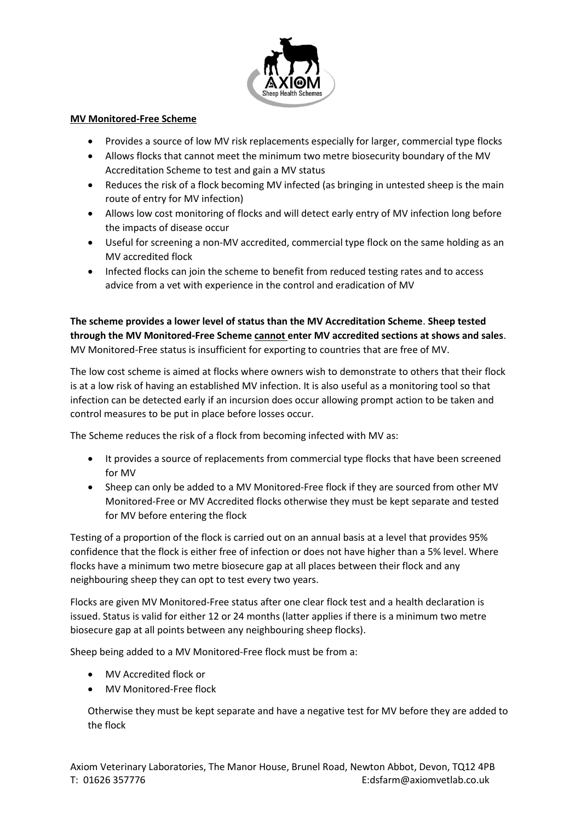

## **MV Monitored-Free Scheme**

- Provides a source of low MV risk replacements especially for larger, commercial type flocks
- Allows flocks that cannot meet the minimum two metre biosecurity boundary of the MV Accreditation Scheme to test and gain a MV status
- Reduces the risk of a flock becoming MV infected (as bringing in untested sheep is the main route of entry for MV infection)
- Allows low cost monitoring of flocks and will detect early entry of MV infection long before the impacts of disease occur
- Useful for screening a non-MV accredited, commercial type flock on the same holding as an MV accredited flock
- Infected flocks can join the scheme to benefit from reduced testing rates and to access advice from a vet with experience in the control and eradication of MV

**The scheme provides a lower level of status than the MV Accreditation Scheme**. **Sheep tested through the MV Monitored-Free Scheme cannot enter MV accredited sections at shows and sales**. MV Monitored-Free status is insufficient for exporting to countries that are free of MV.

The low cost scheme is aimed at flocks where owners wish to demonstrate to others that their flock is at a low risk of having an established MV infection. It is also useful as a monitoring tool so that infection can be detected early if an incursion does occur allowing prompt action to be taken and control measures to be put in place before losses occur.

The Scheme reduces the risk of a flock from becoming infected with MV as:

- It provides a source of replacements from commercial type flocks that have been screened for MV
- Sheep can only be added to a MV Monitored-Free flock if they are sourced from other MV Monitored-Free or MV Accredited flocks otherwise they must be kept separate and tested for MV before entering the flock

Testing of a proportion of the flock is carried out on an annual basis at a level that provides 95% confidence that the flock is either free of infection or does not have higher than a 5% level. Where flocks have a minimum two metre biosecure gap at all places between their flock and any neighbouring sheep they can opt to test every two years.

Flocks are given MV Monitored-Free status after one clear flock test and a health declaration is issued. Status is valid for either 12 or 24 months (latter applies if there is a minimum two metre biosecure gap at all points between any neighbouring sheep flocks).

Sheep being added to a MV Monitored-Free flock must be from a:

- MV Accredited flock or
- MV Monitored-Free flock

Otherwise they must be kept separate and have a negative test for MV before they are added to the flock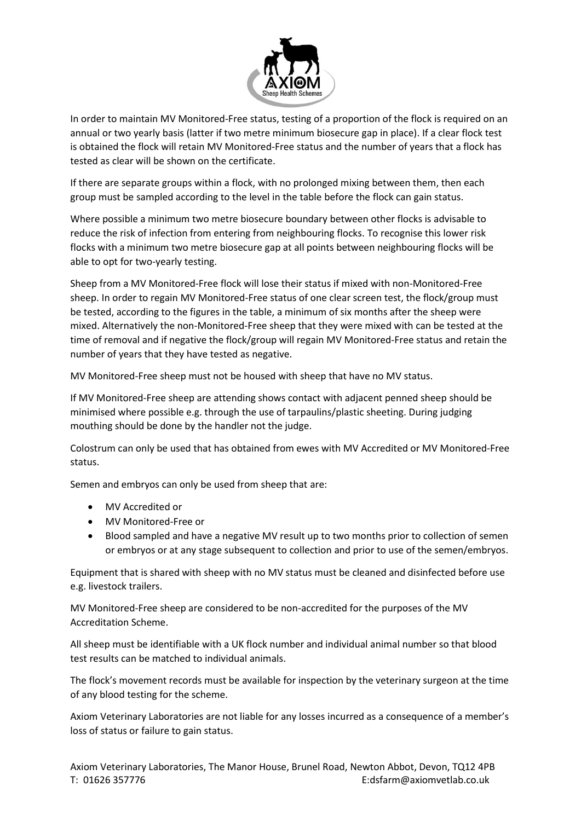

In order to maintain MV Monitored-Free status, testing of a proportion of the flock is required on an annual or two yearly basis (latter if two metre minimum biosecure gap in place). If a clear flock test is obtained the flock will retain MV Monitored-Free status and the number of years that a flock has tested as clear will be shown on the certificate.

If there are separate groups within a flock, with no prolonged mixing between them, then each group must be sampled according to the level in the table before the flock can gain status.

Where possible a minimum two metre biosecure boundary between other flocks is advisable to reduce the risk of infection from entering from neighbouring flocks. To recognise this lower risk flocks with a minimum two metre biosecure gap at all points between neighbouring flocks will be able to opt for two-yearly testing.

Sheep from a MV Monitored-Free flock will lose their status if mixed with non-Monitored-Free sheep. In order to regain MV Monitored-Free status of one clear screen test, the flock/group must be tested, according to the figures in the table, a minimum of six months after the sheep were mixed. Alternatively the non-Monitored-Free sheep that they were mixed with can be tested at the time of removal and if negative the flock/group will regain MV Monitored-Free status and retain the number of years that they have tested as negative.

MV Monitored-Free sheep must not be housed with sheep that have no MV status.

If MV Monitored-Free sheep are attending shows contact with adjacent penned sheep should be minimised where possible e.g. through the use of tarpaulins/plastic sheeting. During judging mouthing should be done by the handler not the judge.

Colostrum can only be used that has obtained from ewes with MV Accredited or MV Monitored-Free status.

Semen and embryos can only be used from sheep that are:

- MV Accredited or
- MV Monitored-Free or
- Blood sampled and have a negative MV result up to two months prior to collection of semen or embryos or at any stage subsequent to collection and prior to use of the semen/embryos.

Equipment that is shared with sheep with no MV status must be cleaned and disinfected before use e.g. livestock trailers.

MV Monitored-Free sheep are considered to be non-accredited for the purposes of the MV Accreditation Scheme.

All sheep must be identifiable with a UK flock number and individual animal number so that blood test results can be matched to individual animals.

The flock's movement records must be available for inspection by the veterinary surgeon at the time of any blood testing for the scheme.

Axiom Veterinary Laboratories are not liable for any losses incurred as a consequence of a member's loss of status or failure to gain status.